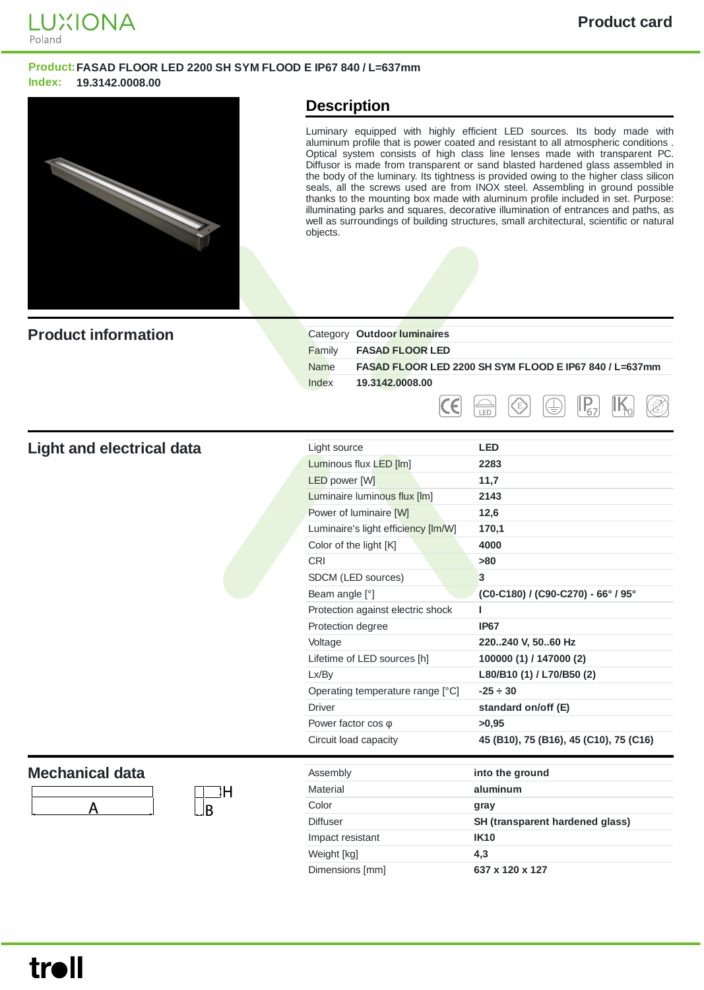

## **Product:FASAD FLOOR LED 2200 SH SYM FLOOD E IP67 840 / L=637mm Index: 19.3142.0008.00**



## **Description**

Luminary equipped with highly efficient LED sources. Its body made with aluminum profile that is power coated and resistant to all atmospheric conditions . Optical system consists of high class line lenses made with transparent PC. Diffusor is made from transparent or sand blasted hardened glass assembled in the body of the luminary. Its tightness is provided owing to the higher class silicon seals, all the screws used are from INOX steel. Assembling in ground possible thanks to the mounting box made with aluminum profile included in set. Purpose: illuminating parks and squares, decorative illumination of entrances and paths, as well as surroundings of building structures, small architectural, scientific or natural objects.

| <b>Product information</b>             | Category Outdoor luminaires<br>Family<br><b>FASAD FLOOR LED</b><br><b>Name</b><br>Index<br>19.3142.0008.00<br>E                                                                                                                                                                                                                                                                                                                                                   | FASAD FLOOR LED 2200 SH SYM FLOOD E IP67 840 / L=637mm<br>LED                                                                                                                                                                                                                                             |
|----------------------------------------|-------------------------------------------------------------------------------------------------------------------------------------------------------------------------------------------------------------------------------------------------------------------------------------------------------------------------------------------------------------------------------------------------------------------------------------------------------------------|-----------------------------------------------------------------------------------------------------------------------------------------------------------------------------------------------------------------------------------------------------------------------------------------------------------|
| <b>Light and electrical data</b>       | Light source<br>Luminous flux LED [Im]<br><b>LED</b> power [W]<br>Luminaire luminous flux [lm]<br>Power of luminaire [W]<br>Luminaire's light efficiency [Im/W]<br>Color of the light [K]<br>CRI<br>SDCM (LED sources)<br>Beam angle [°]<br>Protection against electric shock<br>Protection degree<br>Voltage<br>Lifetime of LED sources [h]<br>Lx/By<br>Operating temperature range [°C]<br><b>Driver</b><br>Power factor $cos \varphi$<br>Circuit load capacity | <b>LED</b><br>2283<br>11,7<br>2143<br>12,6<br>170,1<br>4000<br>>80<br>3<br>(C0-C180) / (C90-C270) - 66° / 95°<br>г<br><b>IP67</b><br>220240 V, 5060 Hz<br>100000 (1) / 147000 (2)<br>L80/B10 (1) / L70/B50 (2)<br>$-25 \div 30$<br>standard on/off (E)<br>>0,95<br>45 (B10), 75 (B16), 45 (C10), 75 (C16) |
| <b>Mechanical data</b><br>ΙH<br>А<br>B | Assembly<br><b>Material</b><br>Color<br><b>Diffuser</b><br>Impact resistant                                                                                                                                                                                                                                                                                                                                                                                       | into the ground<br>aluminum<br>gray<br>SH (transparent hardened glass)<br><b>IK10</b>                                                                                                                                                                                                                     |

Weight [kg] **4,3** Dimensions [mm] **637 x 120 x 127**